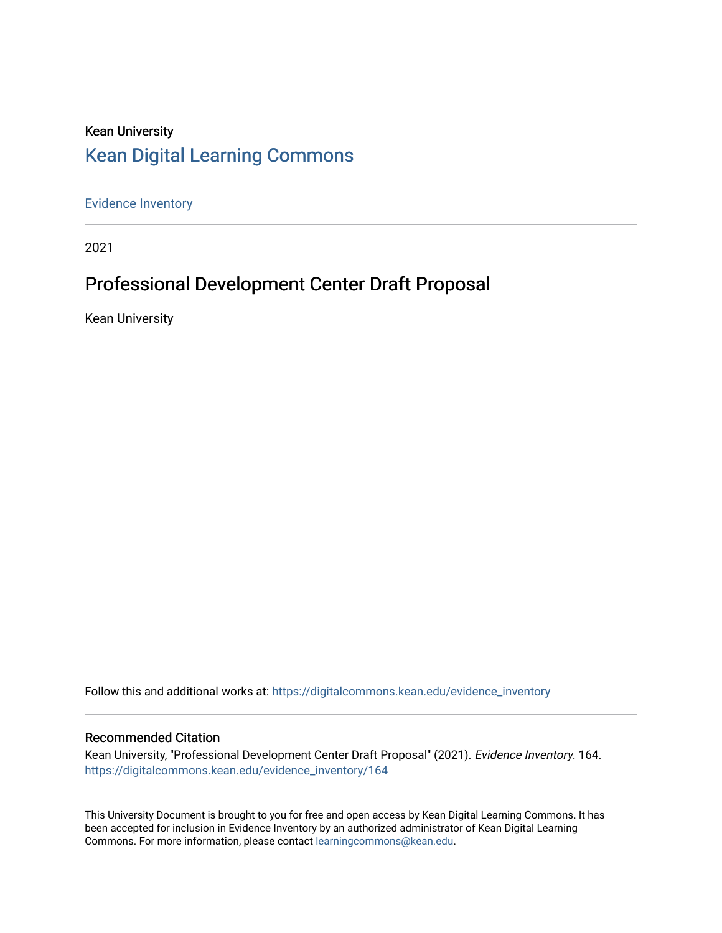## Kean University [Kean Digital Learning Commons](https://digitalcommons.kean.edu/)

[Evidence Inventory](https://digitalcommons.kean.edu/evidence_inventory) 

2021

# Professional Development Center Draft Proposal

Kean University

Follow this and additional works at: [https://digitalcommons.kean.edu/evidence\\_inventory](https://digitalcommons.kean.edu/evidence_inventory?utm_source=digitalcommons.kean.edu%2Fevidence_inventory%2F164&utm_medium=PDF&utm_campaign=PDFCoverPages)

#### Recommended Citation

Kean University, "Professional Development Center Draft Proposal" (2021). Evidence Inventory. 164. [https://digitalcommons.kean.edu/evidence\\_inventory/164](https://digitalcommons.kean.edu/evidence_inventory/164?utm_source=digitalcommons.kean.edu%2Fevidence_inventory%2F164&utm_medium=PDF&utm_campaign=PDFCoverPages)

This University Document is brought to you for free and open access by Kean Digital Learning Commons. It has been accepted for inclusion in Evidence Inventory by an authorized administrator of Kean Digital Learning Commons. For more information, please contact [learningcommons@kean.edu.](mailto:learningcommons@kean.edu)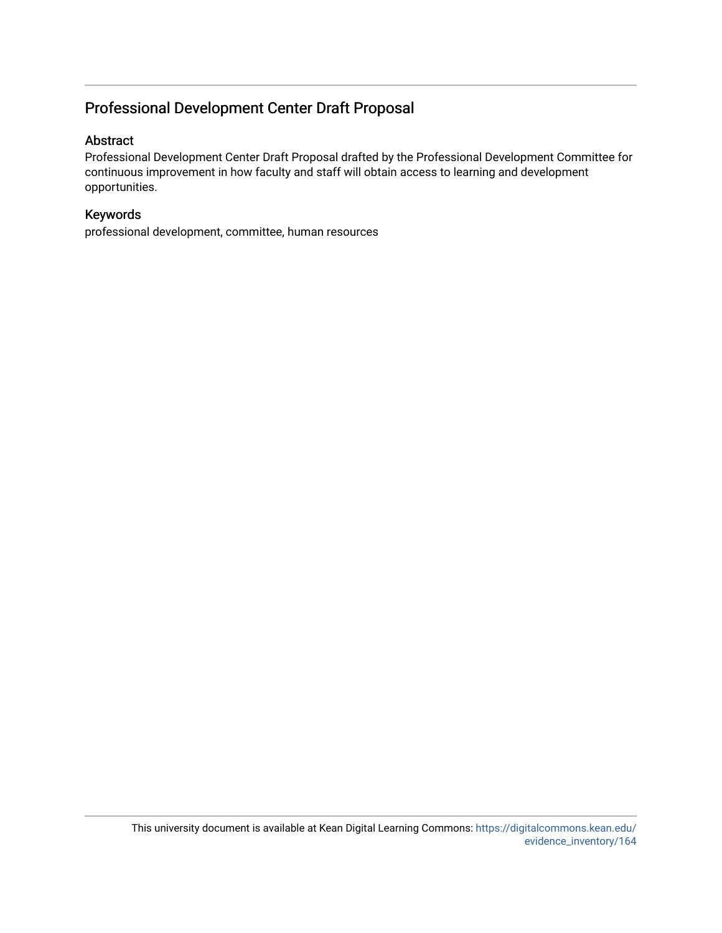### Professional Development Center Draft Proposal

#### Abstract

Professional Development Center Draft Proposal drafted by the Professional Development Committee for continuous improvement in how faculty and staff will obtain access to learning and development opportunities.

#### Keywords

professional development, committee, human resources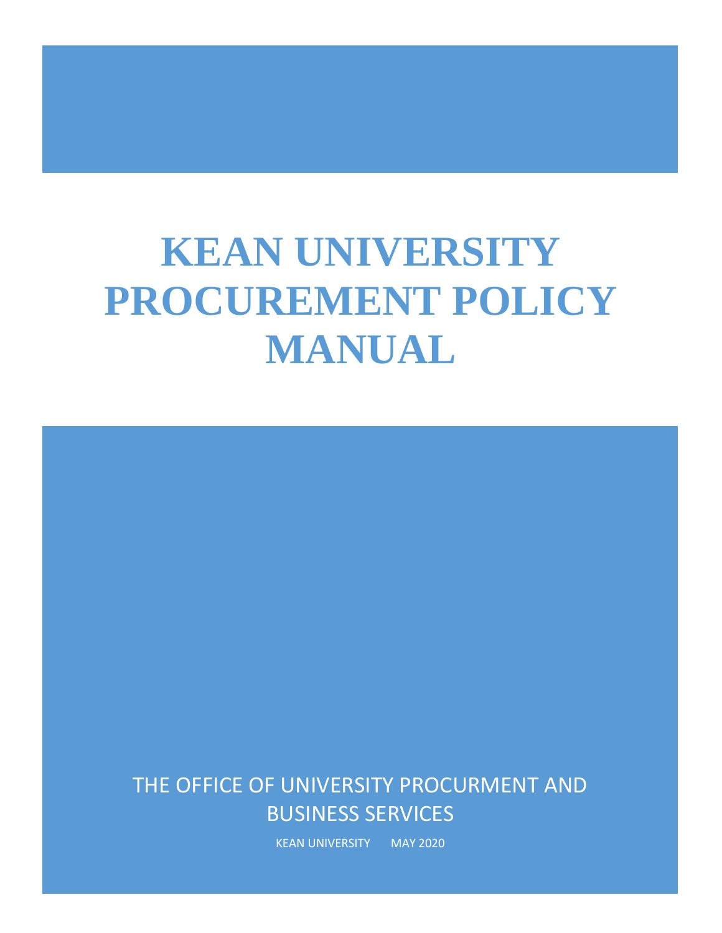# **KEAN UNIVERSITY PROCUREMENT POLICY MANUAL**

# THE OFFICE OF UNIVERSITY PROCURMENT AND BUSINESS SERVICES

KEAN UNIVERSITY MAY 2020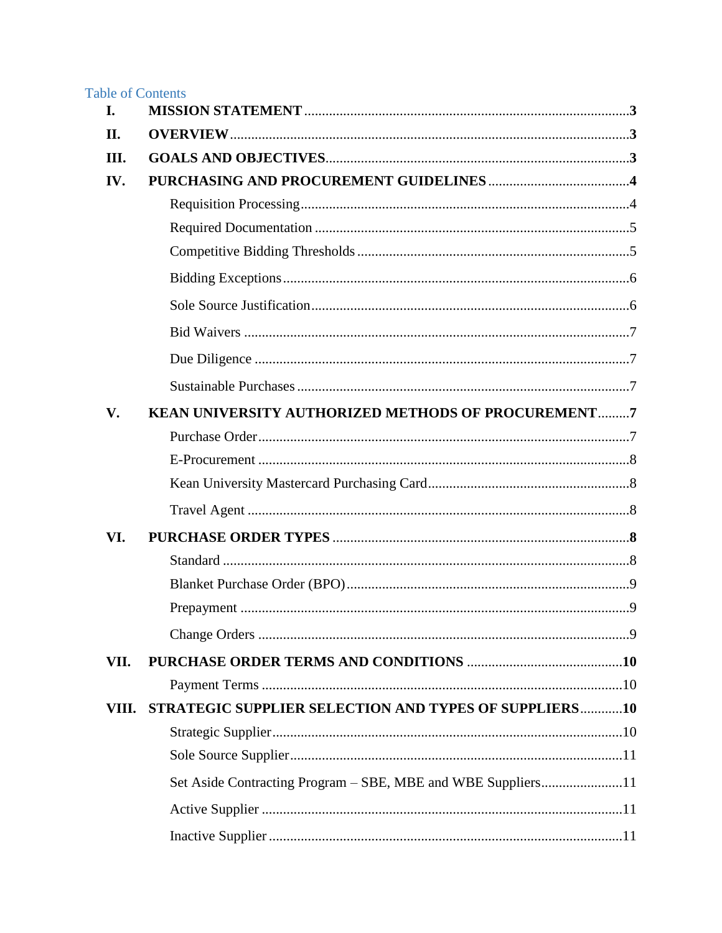| <b>Table of Contents</b><br>I. |                                                              |  |
|--------------------------------|--------------------------------------------------------------|--|
| II.                            |                                                              |  |
| Ш.                             |                                                              |  |
| IV.                            |                                                              |  |
|                                |                                                              |  |
|                                |                                                              |  |
|                                |                                                              |  |
|                                |                                                              |  |
|                                |                                                              |  |
|                                |                                                              |  |
|                                |                                                              |  |
|                                |                                                              |  |
| V.                             | KEAN UNIVERSITY AUTHORIZED METHODS OF PROCUREMENT7           |  |
|                                |                                                              |  |
|                                |                                                              |  |
|                                |                                                              |  |
|                                |                                                              |  |
| VI.                            |                                                              |  |
|                                |                                                              |  |
|                                |                                                              |  |
|                                | . 9                                                          |  |
|                                |                                                              |  |
| VII.                           |                                                              |  |
|                                |                                                              |  |
| VIII.                          | STRATEGIC SUPPLIER SELECTION AND TYPES OF SUPPLIERS10        |  |
|                                |                                                              |  |
|                                |                                                              |  |
|                                | Set Aside Contracting Program - SBE, MBE and WBE Suppliers11 |  |
|                                |                                                              |  |
|                                |                                                              |  |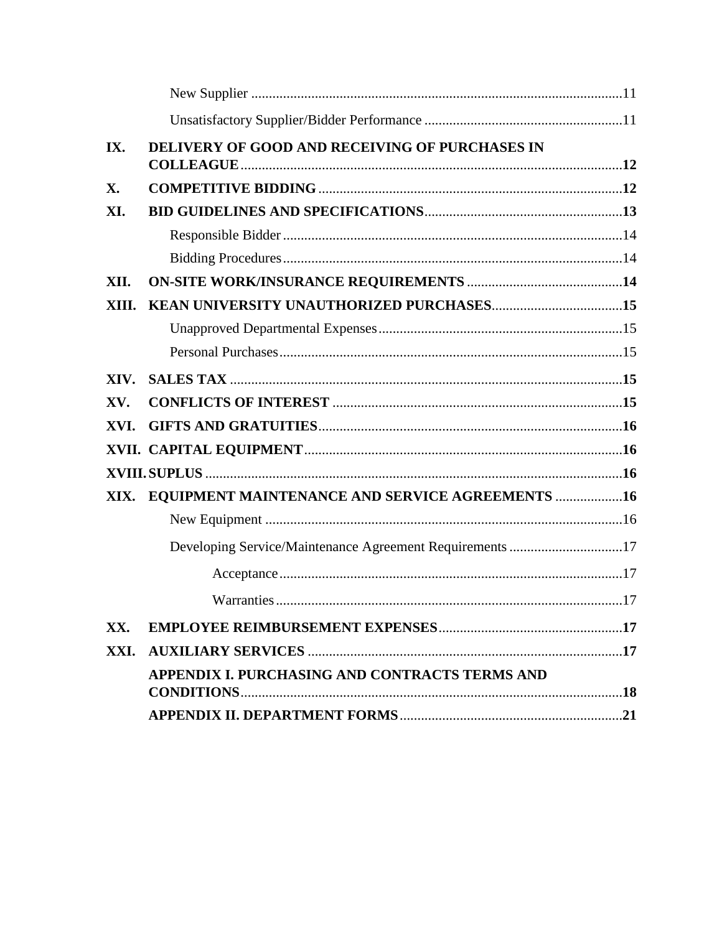| IX.       | DELIVERY OF GOOD AND RECEIVING OF PURCHASES IN           |  |
|-----------|----------------------------------------------------------|--|
| <b>X.</b> |                                                          |  |
| XI.       |                                                          |  |
|           |                                                          |  |
|           |                                                          |  |
| XII.      |                                                          |  |
| XIII.     |                                                          |  |
|           |                                                          |  |
|           |                                                          |  |
| XIV.      |                                                          |  |
| XV.       |                                                          |  |
| XVI.      |                                                          |  |
|           |                                                          |  |
|           |                                                          |  |
| XIX.      | <b>EQUIPMENT MAINTENANCE AND SERVICE AGREEMENTS  16</b>  |  |
|           |                                                          |  |
|           | Developing Service/Maintenance Agreement Requirements 17 |  |
|           |                                                          |  |
|           |                                                          |  |
| XX.       |                                                          |  |
| XXI.      |                                                          |  |
|           | APPENDIX I. PURCHASING AND CONTRACTS TERMS AND           |  |
|           |                                                          |  |
|           |                                                          |  |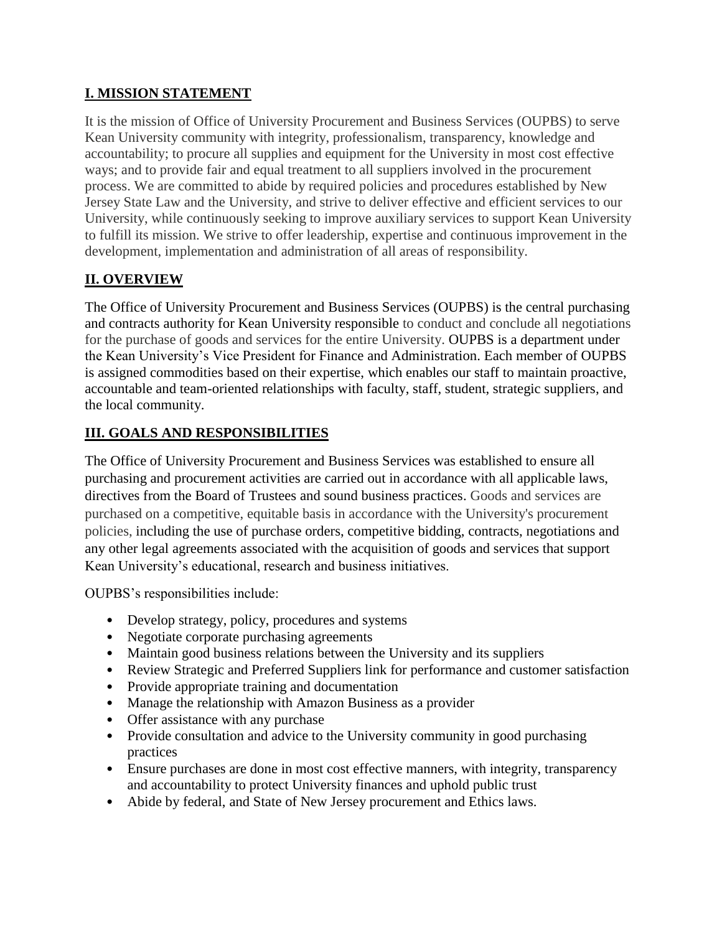#### **I. MISSION STATEMENT**

It is the mission of Office of University Procurement and Business Services (OUPBS) to serve Kean University community with integrity, professionalism, transparency, knowledge and accountability; to procure all supplies and equipment for the University in most cost effective ways; and to provide fair and equal treatment to all suppliers involved in the procurement process. We are committed to abide by required policies and procedures established by New Jersey State Law and the University, and strive to deliver effective and efficient services to our University, while continuously seeking to improve auxiliary services to support Kean University to fulfill its mission. We strive to offer leadership, expertise and continuous improvement in the development, implementation and administration of all areas of responsibility.

#### **II. OVERVIEW**

The Office of University Procurement and Business Services (OUPBS) is the central purchasing and contracts authority for Kean University responsible to conduct and conclude all negotiations for the purchase of goods and services for the entire University. OUPBS is a department under the Kean University's Vice President for Finance and Administration. Each member of OUPBS is assigned commodities based on their expertise, which enables our staff to maintain proactive, accountable and team-oriented relationships with faculty, staff, student, strategic suppliers, and the local community.

#### **III. GOALS AND RESPONSIBILITIES**

The Office of University Procurement and Business Services was established to ensure all purchasing and procurement activities are carried out in accordance with all applicable laws, directives from the Board of Trustees and sound business practices. Goods and services are purchased on a competitive, equitable basis in accordance with the University's procurement policies, including the use of purchase orders, competitive bidding, contracts, negotiations and any other legal agreements associated with the acquisition of goods and services that support Kean University's educational, research and business initiatives.

OUPBS's responsibilities include:

- Develop strategy, policy, procedures and systems
- Negotiate corporate purchasing agreements
- Maintain good business relations between the University and its suppliers
- Review Strategic and Preferred Suppliers link for performance and customer satisfaction
- Provide appropriate training and documentation
- Manage the relationship with Amazon Business as a provider
- Offer assistance with any purchase
- Provide consultation and advice to the University community in good purchasing practices
- Ensure purchases are done in most cost effective manners, with integrity, transparency and accountability to protect University finances and uphold public trust
- Abide by federal, and State of New Jersey procurement and Ethics laws.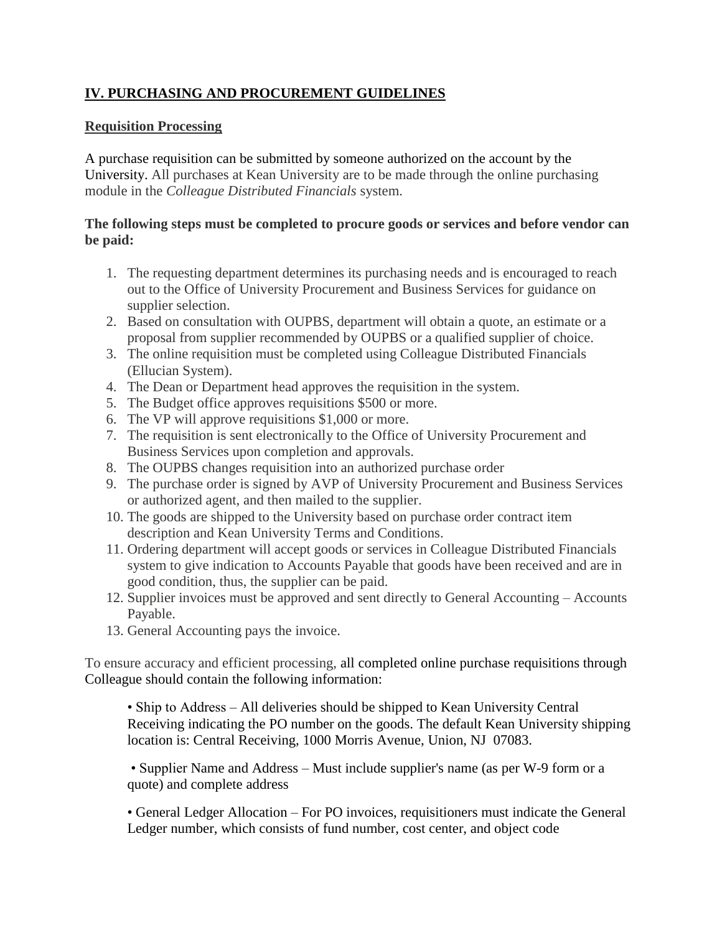#### **IV. PURCHASING AND PROCUREMENT GUIDELINES**

#### **Requisition Processing**

A purchase requisition can be submitted by someone authorized on the account by the University. All purchases at Kean University are to be made through the online purchasing module in the *Colleague Distributed Financials* system.

#### **The following steps must be completed to procure goods or services and before vendor can be paid:**

- 1. The requesting department determines its purchasing needs and is encouraged to reach out to the Office of University Procurement and Business Services for guidance on supplier selection.
- 2. Based on consultation with OUPBS, department will obtain a quote, an estimate or a proposal from supplier recommended by OUPBS or a qualified supplier of choice.
- 3. The online requisition must be completed using Colleague Distributed Financials (Ellucian System).
- 4. The Dean or Department head approves the requisition in the system.
- 5. The Budget office approves requisitions \$500 or more.
- 6. The VP will approve requisitions \$1,000 or more.
- 7. The requisition is sent electronically to the Office of University Procurement and Business Services upon completion and approvals.
- 8. The OUPBS changes requisition into an authorized purchase order
- 9. The purchase order is signed by AVP of University Procurement and Business Services or authorized agent, and then mailed to the supplier.
- 10. The goods are shipped to the University based on purchase order contract item description and Kean University Terms and Conditions.
- 11. Ordering department will accept goods or services in Colleague Distributed Financials system to give indication to Accounts Payable that goods have been received and are in good condition, thus, the supplier can be paid.
- 12. Supplier invoices must be approved and sent directly to General Accounting Accounts Payable.
- 13. General Accounting pays the invoice.

To ensure accuracy and efficient processing, all completed online purchase requisitions through Colleague should contain the following information:

• Ship to Address – All deliveries should be shipped to Kean University Central Receiving indicating the PO number on the goods. The default Kean University shipping location is: Central Receiving, 1000 Morris Avenue, Union, NJ 07083.

• Supplier Name and Address – Must include supplier's name (as per W-9 form or a quote) and complete address

• General Ledger Allocation – For PO invoices, requisitioners must indicate the General Ledger number, which consists of fund number, cost center, and object code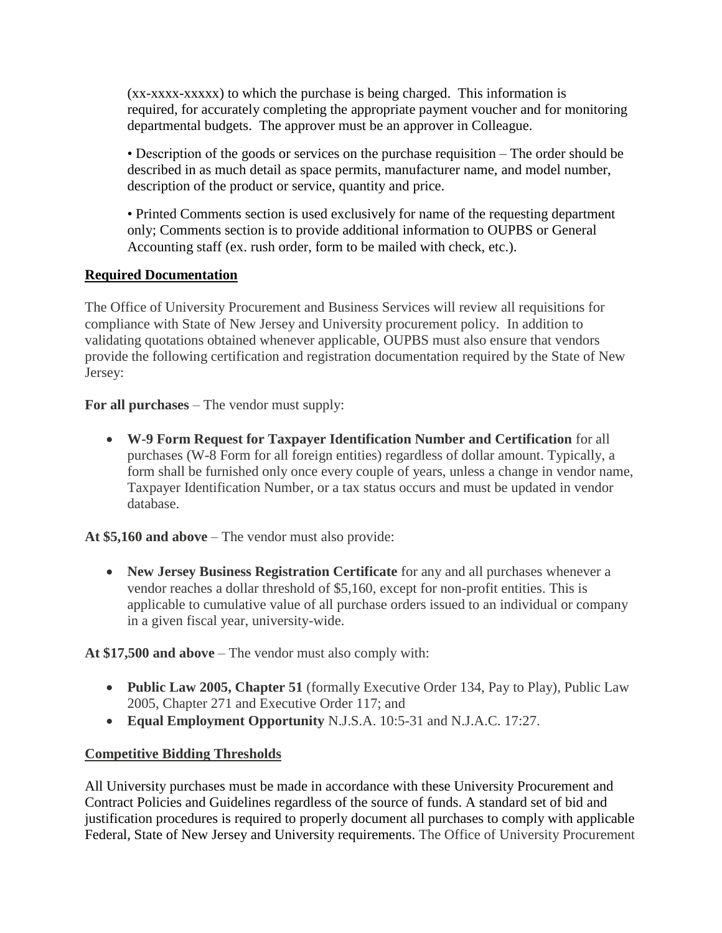(xx-xxxx-xxxxx) to which the purchase is being charged. This information is required, for accurately completing the appropriate payment voucher and for monitoring departmental budgets. The approver must be an approver in Colleague.

• Description of the goods or services on the purchase requisition – The order should be described in as much detail as space permits, manufacturer name, and model number, description of the product or service, quantity and price.

• Printed Comments section is used exclusively for name of the requesting department only; Comments section is to provide additional information to OUPBS or General Accounting staff (ex. rush order, form to be mailed with check, etc.).

#### **Required Documentation**

The Office of University Procurement and Business Services will review all requisitions for compliance with State of New Jersey and University procurement policy. In addition to validating quotations obtained whenever applicable, OUPBS must also ensure that vendors provide the following certification and registration documentation required by the State of New Jersey:

**For all purchases** – The vendor must supply:

 **W-9 Form Request for Taxpayer Identification Number and Certification** for all purchases (W-8 Form for all foreign entities) regardless of dollar amount. Typically, a form shall be furnished only once every couple of years, unless a change in vendor name, Taxpayer Identification Number, or a tax status occurs and must be updated in vendor database.

**At \$5,160 and above** – The vendor must also provide:

 **New Jersey Business Registration Certificate** for any and all purchases whenever a vendor reaches a dollar threshold of \$5,160, except for non-profit entities. This is applicable to cumulative value of all purchase orders issued to an individual or company in a given fiscal year, university-wide.

**At \$17,500 and above** – The vendor must also comply with:

- **Public Law 2005, Chapter 51** (formally Executive Order 134, Pay to Play), Public Law 2005, Chapter 271 and Executive Order 117; and
- **Equal Employment Opportunity** N.J.S.A. 10:5-31 and N.J.A.C. 17:27.

#### **Competitive Bidding Thresholds**

All University purchases must be made in accordance with these University Procurement and Contract Policies and Guidelines regardless of the source of funds. A standard set of bid and justification procedures is required to properly document all purchases to comply with applicable Federal, State of New Jersey and University requirements. The Office of University Procurement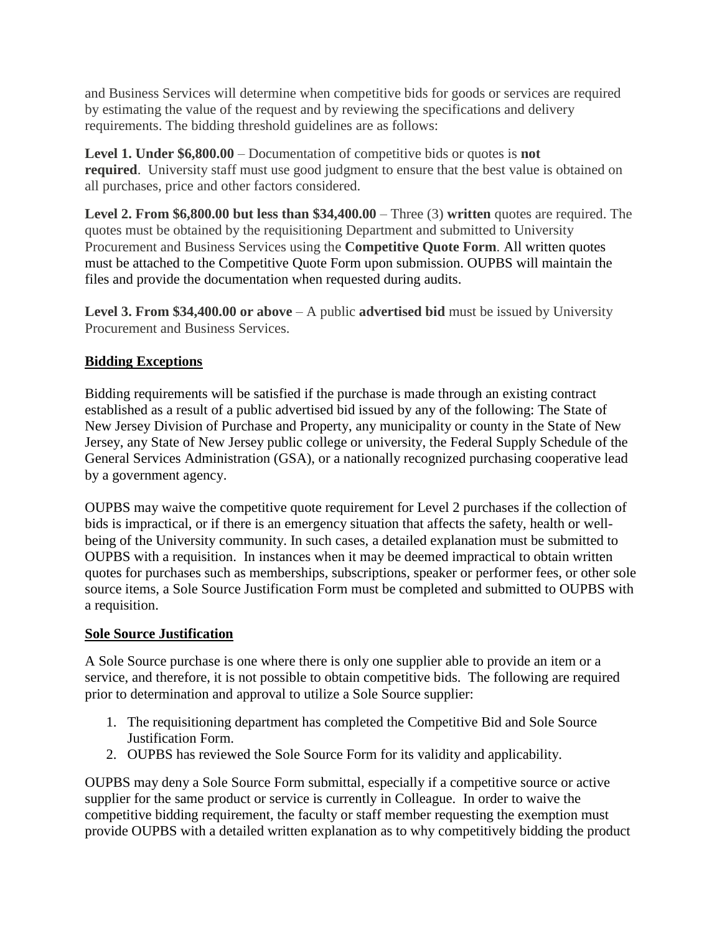and Business Services will determine when competitive bids for goods or services are required by estimating the value of the request and by reviewing the specifications and delivery requirements. The bidding threshold guidelines are as follows:

**Level 1. Under \$6,800.00** – Documentation of competitive bids or quotes is **not required.** University staff must use good judgment to ensure that the best value is obtained on all purchases, price and other factors considered.

**Level 2. From \$6,800.00 but less than \$34,400.00** – Three (3) **written** quotes are required. The quotes must be obtained by the requisitioning Department and submitted to University Procurement and Business Services using the **Competitive Quote Form**. All written quotes must be attached to the Competitive Quote Form upon submission. OUPBS will maintain the files and provide the documentation when requested during audits.

**Level 3. From \$34,400.00 or above** – A public **advertised bid** must be issued by University Procurement and Business Services.

#### **Bidding Exceptions**

Bidding requirements will be satisfied if the purchase is made through an existing contract established as a result of a public advertised bid issued by any of the following: The State of New Jersey Division of Purchase and Property, any municipality or county in the State of New Jersey, any State of New Jersey public college or university, the Federal Supply Schedule of the General Services Administration (GSA), or a nationally recognized purchasing cooperative lead by a government agency.

OUPBS may waive the competitive quote requirement for Level 2 purchases if the collection of bids is impractical, or if there is an emergency situation that affects the safety, health or wellbeing of the University community. In such cases, a detailed explanation must be submitted to OUPBS with a requisition. In instances when it may be deemed impractical to obtain written quotes for purchases such as memberships, subscriptions, speaker or performer fees, or other sole source items, a Sole Source Justification Form must be completed and submitted to OUPBS with a requisition.

#### **Sole Source Justification**

A Sole Source purchase is one where there is only one supplier able to provide an item or a service, and therefore, it is not possible to obtain competitive bids. The following are required prior to determination and approval to utilize a Sole Source supplier:

- 1. The requisitioning department has completed the Competitive Bid and Sole Source Justification Form.
- 2. OUPBS has reviewed the Sole Source Form for its validity and applicability.

OUPBS may deny a Sole Source Form submittal, especially if a competitive source or active supplier for the same product or service is currently in Colleague. In order to waive the competitive bidding requirement, the faculty or staff member requesting the exemption must provide OUPBS with a detailed written explanation as to why competitively bidding the product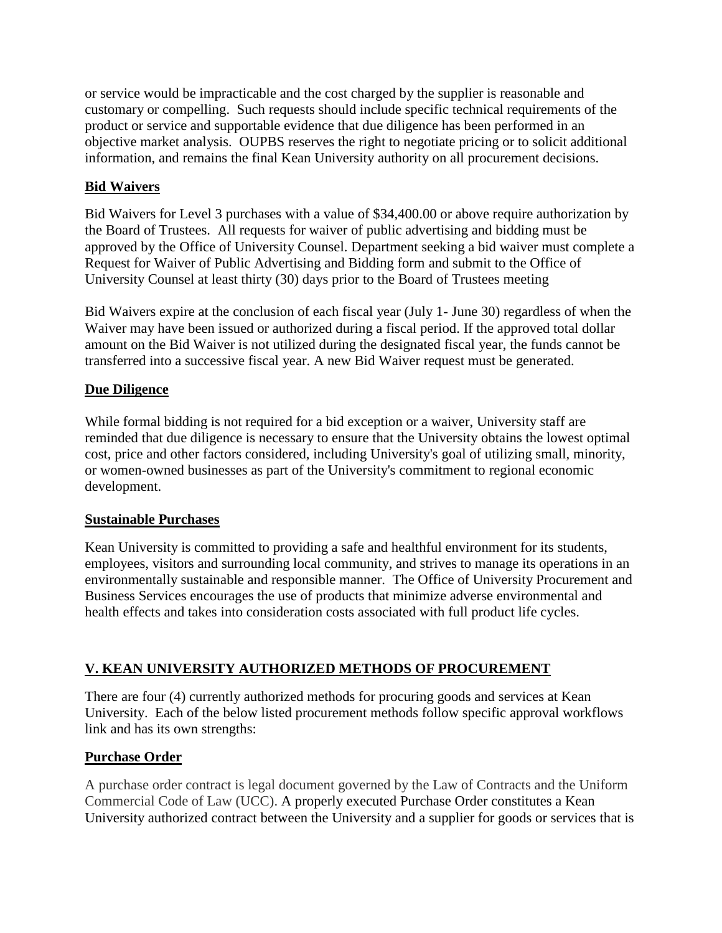or service would be impracticable and the cost charged by the supplier is reasonable and customary or compelling. Such requests should include specific technical requirements of the product or service and supportable evidence that due diligence has been performed in an objective market analysis. OUPBS reserves the right to negotiate pricing or to solicit additional information, and remains the final Kean University authority on all procurement decisions.

#### **Bid Waivers**

Bid Waivers for Level 3 purchases with a value of \$34,400.00 or above require authorization by the Board of Trustees. All requests for waiver of public advertising and bidding must be approved by the Office of University Counsel. Department seeking a bid waiver must complete a [Request for Waiver of Public Advertising and Bidding form](https://www.kean.edu/media/keanbidwaiver-0718) and submit to the Office of University Counsel at least thirty (30) days prior to the Board of Trustees meeting

Bid Waivers expire at the conclusion of each fiscal year (July 1- June 30) regardless of when the Waiver may have been issued or authorized during a fiscal period. If the approved total dollar amount on the Bid Waiver is not utilized during the designated fiscal year, the funds cannot be transferred into a successive fiscal year. A new Bid Waiver request must be generated.

#### **Due Diligence**

While formal bidding is not required for a bid exception or a waiver, University staff are reminded that due diligence is necessary to ensure that the University obtains the lowest optimal cost, price and other factors considered, including University's goal of utilizing small, minority, or women-owned businesses as part of the University's commitment to regional economic development.

#### **Sustainable Purchases**

Kean University is committed to providing a safe and healthful environment for its students, employees, visitors and surrounding local community, and strives to manage its operations in an environmentally sustainable and responsible manner. The Office of University Procurement and Business Services encourages the use of products that minimize adverse environmental and health effects and takes into consideration costs associated with full product life cycles.

#### **V. KEAN UNIVERSITY AUTHORIZED METHODS OF PROCUREMENT**

There are four (4) currently authorized methods for procuring goods and services at Kean University. Each of the below listed procurement methods follow specific approval workflows link and has its own strengths:

#### **Purchase Order**

A purchase order contract is legal document governed by the Law of Contracts and the Uniform Commercial Code of Law (UCC). A properly executed Purchase Order constitutes a Kean University authorized contract between the University and a supplier for goods or services that is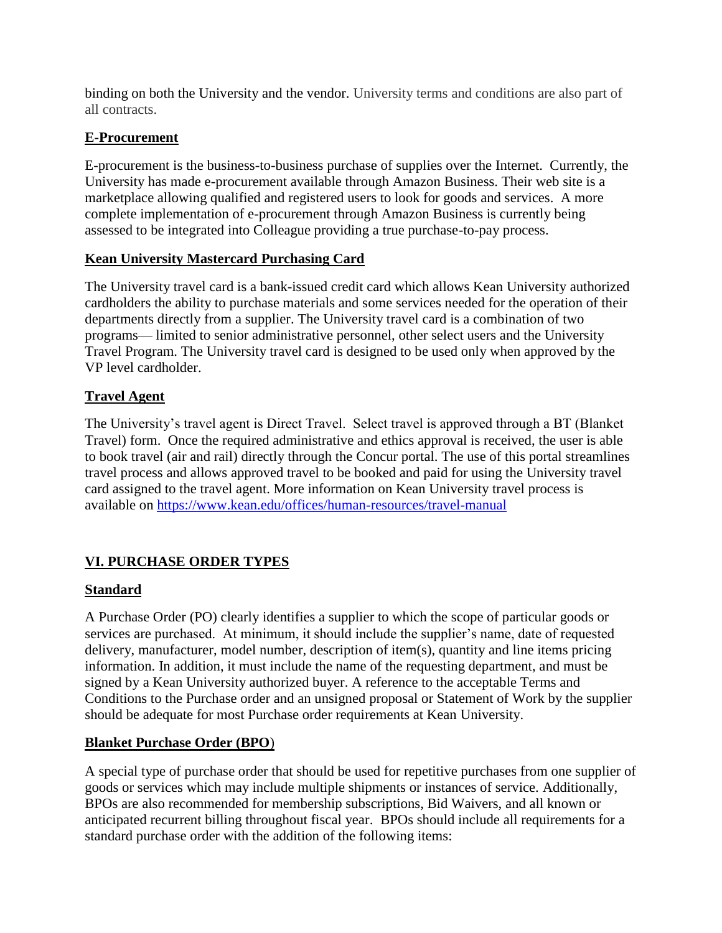binding on both the University and the vendor. University terms and conditions are also part of all contracts.

#### **E-Procurement**

E-procurement is the business-to-business purchase of supplies over the Internet. Currently, the University has made e-procurement available through Amazon Business. Their web site is a marketplace allowing qualified and registered users to look for goods and services. A more complete implementation of e-procurement through Amazon Business is currently being assessed to be integrated into Colleague providing a true purchase-to-pay process.

#### **Kean University Mastercard Purchasing Card**

The University travel card is a bank-issued credit card which allows Kean University authorized cardholders the ability to purchase materials and some services needed for the operation of their departments directly from a supplier. The University travel card is a combination of two programs— limited to senior administrative personnel, other select users and the University Travel Program. The University travel card is designed to be used only when approved by the VP level cardholder.

#### **Travel Agent**

The University's travel agent is Direct Travel. Select travel is approved through a BT (Blanket Travel) form. Once the required administrative and ethics approval is received, the user is able to book travel (air and rail) directly through the Concur portal. The use of this portal streamlines travel process and allows approved travel to be booked and paid for using the University travel card assigned to the travel agent. More information on Kean University travel process is available on<https://www.kean.edu/offices/human-resources/travel-manual>

#### **VI. PURCHASE ORDER TYPES**

#### **Standard**

A Purchase Order (PO) clearly identifies a supplier to which the scope of particular goods or services are purchased. At minimum, it should include the supplier's name, date of requested delivery, manufacturer, model number, description of item(s), quantity and line items pricing information. In addition, it must include the name of the requesting department, and must be signed by a Kean University authorized buyer. A reference to the acceptable Terms and Conditions to the Purchase order and an unsigned proposal or Statement of Work by the supplier should be adequate for most Purchase order requirements at Kean University.

#### **Blanket Purchase Order (BPO**)

A special type of purchase order that should be used for repetitive purchases from one supplier of goods or services which may include multiple shipments or instances of service. Additionally, BPOs are also recommended for membership subscriptions, Bid Waivers, and all known or anticipated recurrent billing throughout fiscal year. BPOs should include all requirements for a standard purchase order with the addition of the following items: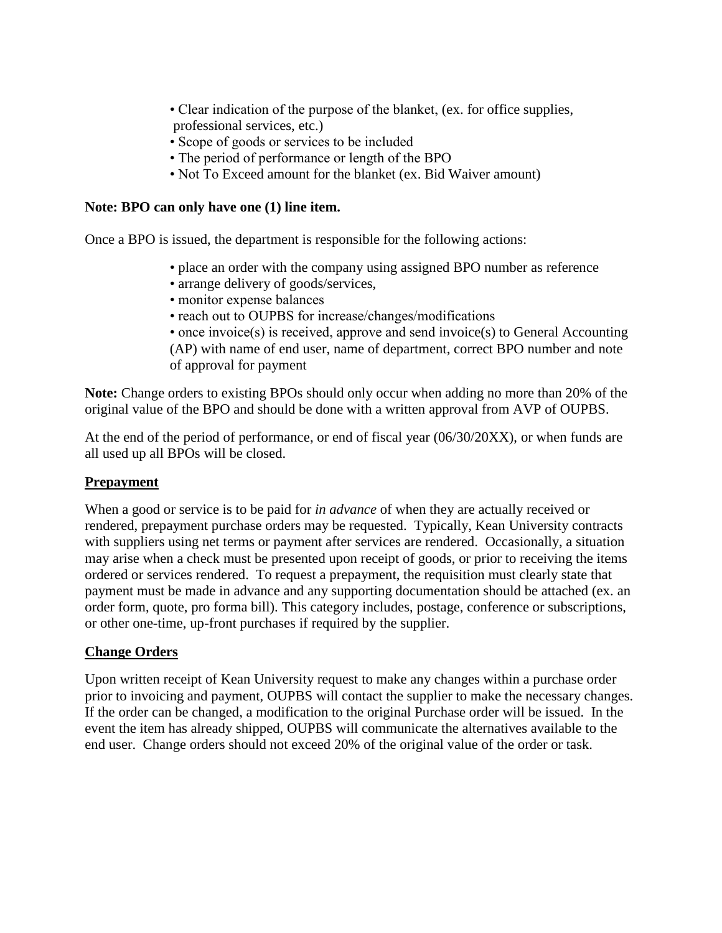- Clear indication of the purpose of the blanket, (ex. for office supplies, professional services, etc.)
- Scope of goods or services to be included
- The period of performance or length of the BPO
- Not To Exceed amount for the blanket (ex. Bid Waiver amount)

#### **Note: BPO can only have one (1) line item.**

Once a BPO is issued, the department is responsible for the following actions:

- place an order with the company using assigned BPO number as reference
- arrange delivery of goods/services,
- monitor expense balances
- reach out to OUPBS for increase/changes/modifications
- once invoice(s) is received, approve and send invoice(s) to General Accounting (AP) with name of end user, name of department, correct BPO number and note of approval for payment

**Note:** Change orders to existing BPOs should only occur when adding no more than 20% of the original value of the BPO and should be done with a written approval from AVP of OUPBS.

At the end of the period of performance, or end of fiscal year (06/30/20XX), or when funds are all used up all BPOs will be closed.

#### **Prepayment**

When a good or service is to be paid for *in advance* of when they are actually received or rendered, prepayment purchase orders may be requested. Typically, Kean University contracts with suppliers using net terms or payment after services are rendered. Occasionally, a situation may arise when a check must be presented upon receipt of goods, or prior to receiving the items ordered or services rendered. To request a prepayment, the requisition must clearly state that payment must be made in advance and any supporting documentation should be attached (ex. an order form, quote, pro forma bill). This category includes, postage, conference or subscriptions, or other one-time, up-front purchases if required by the supplier.

#### **Change Orders**

Upon written receipt of Kean University request to make any changes within a purchase order prior to invoicing and payment, OUPBS will contact the supplier to make the necessary changes. If the order can be changed, a modification to the original Purchase order will be issued. In the event the item has already shipped, OUPBS will communicate the alternatives available to the end user. Change orders should not exceed 20% of the original value of the order or task.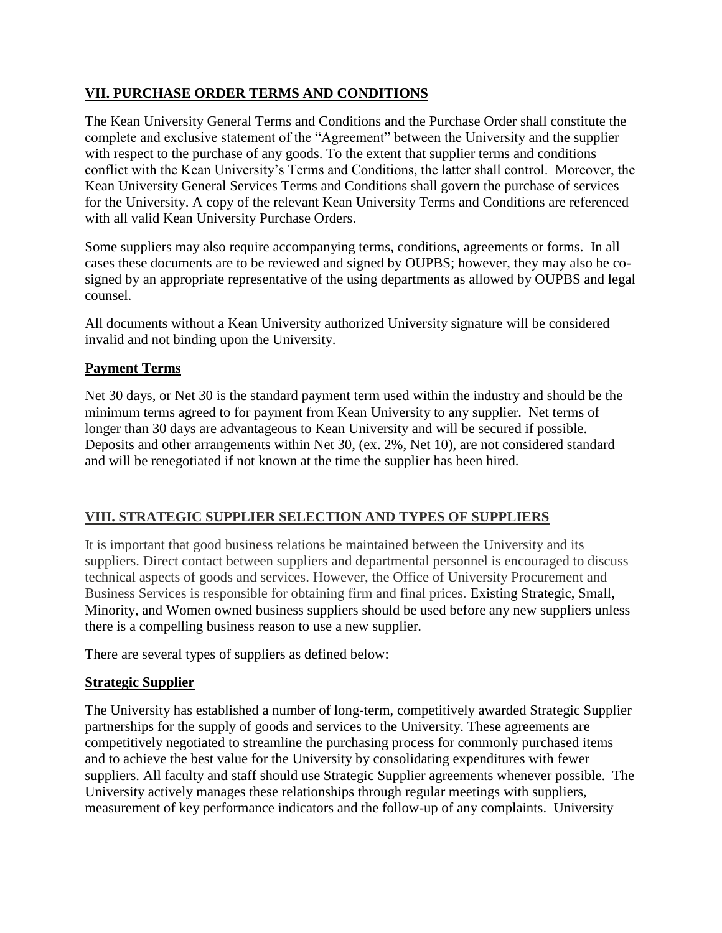#### **VII. PURCHASE ORDER TERMS AND CONDITIONS**

The Kean University General Terms and Conditions and the Purchase Order shall constitute the complete and exclusive statement of the "Agreement" between the University and the supplier with respect to the purchase of any goods. To the extent that supplier terms and conditions conflict with the Kean University's Terms and Conditions, the latter shall control. Moreover, the Kean University General Services Terms and Conditions shall govern the purchase of services for the University. A copy of the relevant Kean University Terms and Conditions are referenced with all valid Kean University Purchase Orders.

Some suppliers may also require accompanying terms, conditions, agreements or forms. In all cases these documents are to be reviewed and signed by OUPBS; however, they may also be cosigned by an appropriate representative of the using departments as allowed by OUPBS and legal counsel.

All documents without a Kean University authorized University signature will be considered invalid and not binding upon the University.

#### **Payment Terms**

Net 30 days, or Net 30 is the standard payment term used within the industry and should be the minimum terms agreed to for payment from Kean University to any supplier. Net terms of longer than 30 days are advantageous to Kean University and will be secured if possible. Deposits and other arrangements within Net 30, (ex. 2%, Net 10), are not considered standard and will be renegotiated if not known at the time the supplier has been hired.

#### **VIII. STRATEGIC SUPPLIER SELECTION AND TYPES OF SUPPLIERS**

It is important that good business relations be maintained between the University and its suppliers. Direct contact between suppliers and departmental personnel is encouraged to discuss technical aspects of goods and services. However, the Office of University Procurement and Business Services is responsible for obtaining firm and final prices. Existing Strategic, Small, Minority, and Women owned business suppliers should be used before any new suppliers unless there is a compelling business reason to use a new supplier.

There are several types of suppliers as defined below:

#### **Strategic Supplier**

The University has established a number of long-term, competitively awarded Strategic Supplier partnerships for the supply of goods and services to the University. These agreements are competitively negotiated to streamline the purchasing process for commonly purchased items and to achieve the best value for the University by consolidating expenditures with fewer suppliers. All faculty and staff should use Strategic Supplier agreements whenever possible. The University actively manages these relationships through regular meetings with suppliers, measurement of key performance indicators and the follow-up of any complaints. University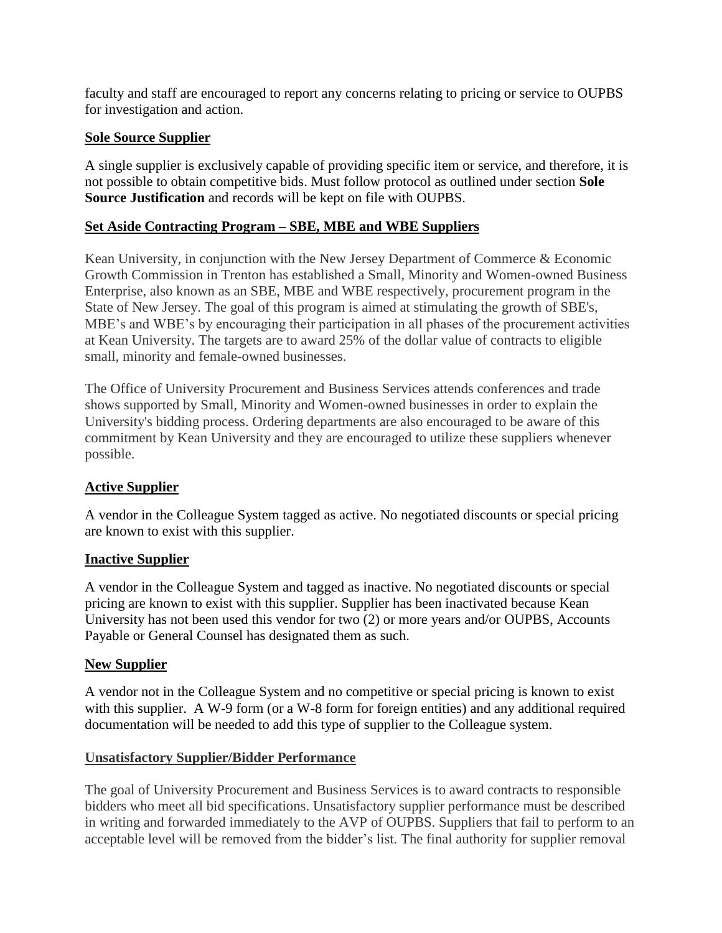faculty and staff are encouraged to report any concerns relating to pricing or service to OUPBS for investigation and action.

#### **Sole Source Supplier**

A single supplier is exclusively capable of providing specific item or service, and therefore, it is not possible to obtain competitive bids. Must follow protocol as outlined under section **Sole Source Justification** and records will be kept on file with OUPBS.

#### **Set Aside Contracting Program – SBE, MBE and WBE Suppliers**

Kean University, in conjunction with the New Jersey Department of Commerce & Economic Growth Commission in Trenton has established a Small, Minority and Women-owned Business Enterprise, also known as an SBE, MBE and WBE respectively, procurement program in the State of New Jersey. The goal of this program is aimed at stimulating the growth of SBE's, MBE's and WBE's by encouraging their participation in all phases of the procurement activities at Kean University. The targets are to award 25% of the dollar value of contracts to eligible small, minority and female-owned businesses.

The Office of University Procurement and Business Services attends conferences and trade shows supported by Small, Minority and Women-owned businesses in order to explain the University's bidding process. Ordering departments are also encouraged to be aware of this commitment by Kean University and they are encouraged to utilize these suppliers whenever possible.

#### **Active Supplier**

A vendor in the Colleague System tagged as active. No negotiated discounts or special pricing are known to exist with this supplier.

#### **Inactive Supplier**

A vendor in the Colleague System and tagged as inactive. No negotiated discounts or special pricing are known to exist with this supplier. Supplier has been inactivated because Kean University has not been used this vendor for two (2) or more years and/or OUPBS, Accounts Payable or General Counsel has designated them as such.

#### **New Supplier**

A vendor not in the Colleague System and no competitive or special pricing is known to exist with this supplier. A W-9 form (or a W-8 form for foreign entities) and any additional required documentation will be needed to add this type of supplier to the Colleague system.

#### **Unsatisfactory Supplier/Bidder Performance**

The goal of University Procurement and Business Services is to award contracts to responsible bidders who meet all bid specifications. Unsatisfactory supplier performance must be described in writing and forwarded immediately to the AVP of OUPBS. Suppliers that fail to perform to an acceptable level will be removed from the bidder's list. The final authority for supplier removal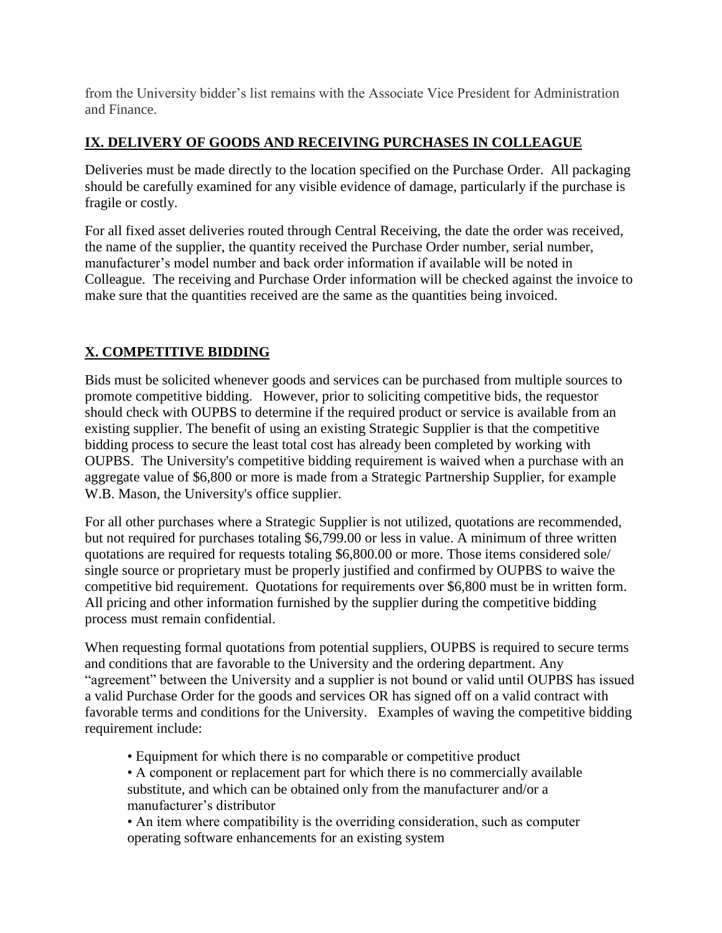from the University bidder's list remains with the Associate Vice President for Administration and Finance.

#### **IX. DELIVERY OF GOODS AND RECEIVING PURCHASES IN COLLEAGUE**

Deliveries must be made directly to the location specified on the Purchase Order. All packaging should be carefully examined for any visible evidence of damage, particularly if the purchase is fragile or costly.

For all fixed asset deliveries routed through Central Receiving, the date the order was received, the name of the supplier, the quantity received the Purchase Order number, serial number, manufacturer's model number and back order information if available will be noted in Colleague. The receiving and Purchase Order information will be checked against the invoice to make sure that the quantities received are the same as the quantities being invoiced.

#### **X. COMPETITIVE BIDDING**

Bids must be solicited whenever goods and services can be purchased from multiple sources to promote competitive bidding. However, prior to soliciting competitive bids, the requestor should check with OUPBS to determine if the required product or service is available from an existing supplier. The benefit of using an existing Strategic Supplier is that the competitive bidding process to secure the least total cost has already been completed by working with OUPBS. The University's competitive bidding requirement is waived when a purchase with an aggregate value of \$6,800 or more is made from a Strategic Partnership Supplier, for example W.B. Mason, the University's office supplier.

For all other purchases where a Strategic Supplier is not utilized, quotations are recommended, but not required for purchases totaling \$6,799.00 or less in value. A minimum of three written quotations are required for requests totaling \$6,800.00 or more. Those items considered sole/ single source or proprietary must be properly justified and confirmed by OUPBS to waive the competitive bid requirement. Quotations for requirements over \$6,800 must be in written form. All pricing and other information furnished by the supplier during the competitive bidding process must remain confidential.

When requesting formal quotations from potential suppliers, OUPBS is required to secure terms and conditions that are favorable to the University and the ordering department. Any "agreement" between the University and a supplier is not bound or valid until OUPBS has issued a valid Purchase Order for the goods and services OR has signed off on a valid contract with favorable terms and conditions for the University. Examples of waving the competitive bidding requirement include:

- Equipment for which there is no comparable or competitive product
- A component or replacement part for which there is no commercially available substitute, and which can be obtained only from the manufacturer and/or a manufacturer's distributor
- An item where compatibility is the overriding consideration, such as computer operating software enhancements for an existing system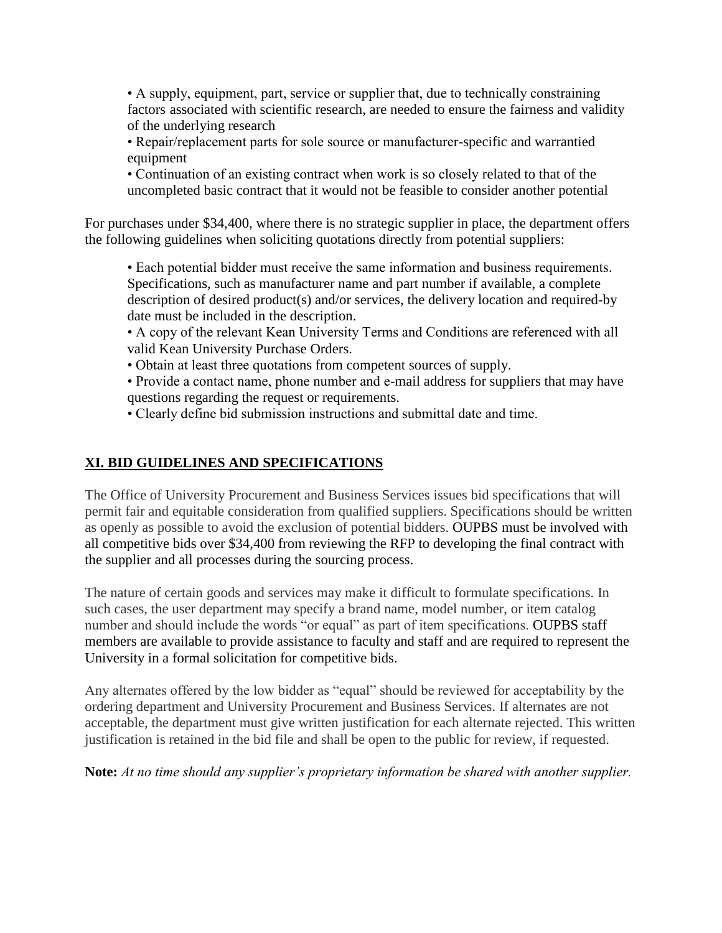• A supply, equipment, part, service or supplier that, due to technically constraining factors associated with scientific research, are needed to ensure the fairness and validity of the underlying research

• Repair/replacement parts for sole source or manufacturer-specific and warrantied equipment

• Continuation of an existing contract when work is so closely related to that of the uncompleted basic contract that it would not be feasible to consider another potential

For purchases under \$34,400, where there is no strategic supplier in place, the department offers the following guidelines when soliciting quotations directly from potential suppliers:

• Each potential bidder must receive the same information and business requirements. Specifications, such as manufacturer name and part number if available, a complete description of desired product(s) and/or services, the delivery location and required-by date must be included in the description.

• A copy of the relevant Kean University Terms and Conditions are referenced with all valid Kean University Purchase Orders.

• Obtain at least three quotations from competent sources of supply.

• Provide a contact name, phone number and e-mail address for suppliers that may have questions regarding the request or requirements.

• Clearly define bid submission instructions and submittal date and time.

#### **XI. BID GUIDELINES AND SPECIFICATIONS**

The Office of University Procurement and Business Services issues bid specifications that will permit fair and equitable consideration from qualified suppliers. Specifications should be written as openly as possible to avoid the exclusion of potential bidders. OUPBS must be involved with all competitive bids over \$34,400 from reviewing the RFP to developing the final contract with the supplier and all processes during the sourcing process.

The nature of certain goods and services may make it difficult to formulate specifications. In such cases, the user department may specify a brand name, model number, or item catalog number and should include the words "or equal" as part of item specifications. OUPBS staff members are available to provide assistance to faculty and staff and are required to represent the University in a formal solicitation for competitive bids.

Any alternates offered by the low bidder as "equal" should be reviewed for acceptability by the ordering department and University Procurement and Business Services. If alternates are not acceptable, the department must give written justification for each alternate rejected. This written justification is retained in the bid file and shall be open to the public for review, if requested.

**Note:** *At no time should any supplier's proprietary information be shared with another supplier.*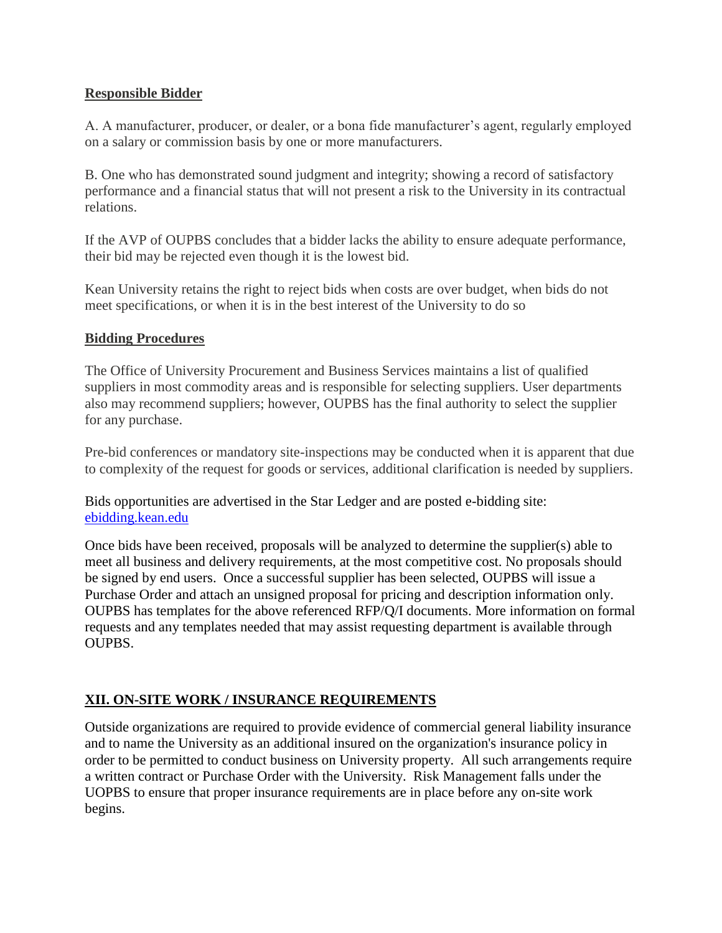#### **Responsible Bidder**

A. A manufacturer, producer, or dealer, or a bona fide manufacturer's agent, regularly employed on a salary or commission basis by one or more manufacturers.

B. One who has demonstrated sound judgment and integrity; showing a record of satisfactory performance and a financial status that will not present a risk to the University in its contractual relations.

If the AVP of OUPBS concludes that a bidder lacks the ability to ensure adequate performance, their bid may be rejected even though it is the lowest bid.

Kean University retains the right to reject bids when costs are over budget, when bids do not meet specifications, or when it is in the best interest of the University to do so

#### **Bidding Procedures**

The Office of University Procurement and Business Services maintains a list of qualified suppliers in most commodity areas and is responsible for selecting suppliers. User departments also may recommend suppliers; however, OUPBS has the final authority to select the supplier for any purchase.

Pre-bid conferences or mandatory site-inspections may be conducted when it is apparent that due to complexity of the request for goods or services, additional clarification is needed by suppliers.

Bids opportunities are advertised in the Star Ledger and are posted e-bidding site: [ebidding.kean.edu](file:///D:/ebidding.kean.edu)

Once bids have been received, proposals will be analyzed to determine the supplier(s) able to meet all business and delivery requirements, at the most competitive cost. No proposals should be signed by end users. Once a successful supplier has been selected, OUPBS will issue a Purchase Order and attach an unsigned proposal for pricing and description information only. OUPBS has templates for the above referenced RFP/Q/I documents. More information on formal requests and any templates needed that may assist requesting department is available through OUPBS.

#### **XII. ON-SITE WORK / INSURANCE REQUIREMENTS**

Outside organizations are required to provide evidence of commercial general liability insurance and to name the University as an additional insured on the organization's insurance policy in order to be permitted to conduct business on University property. All such arrangements require a written contract or Purchase Order with the University. Risk Management falls under the UOPBS to ensure that proper insurance requirements are in place before any on-site work begins.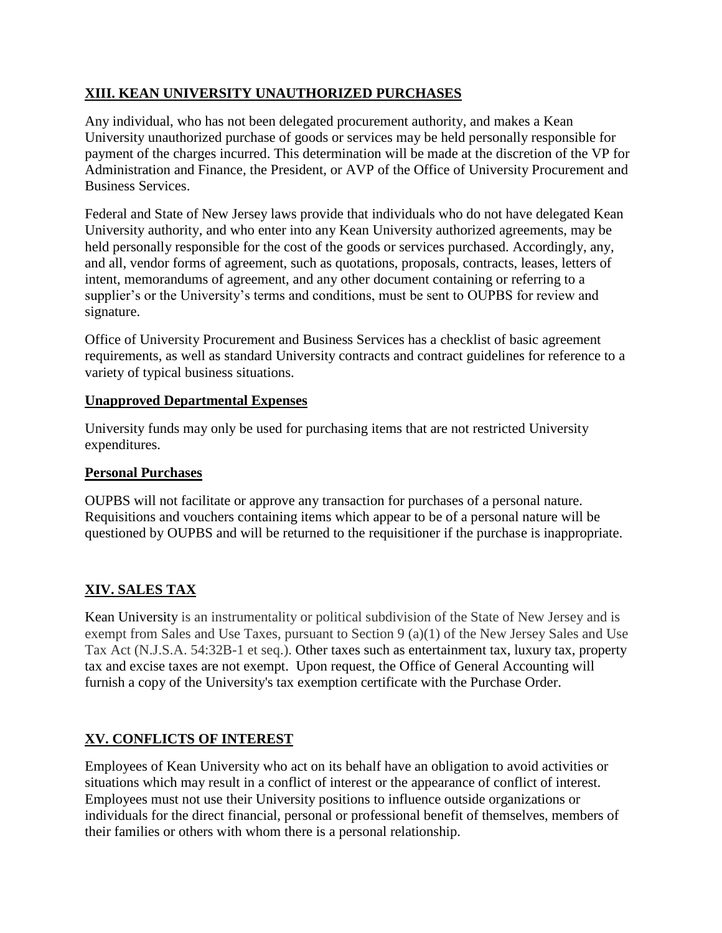#### **XIII. KEAN UNIVERSITY UNAUTHORIZED PURCHASES**

Any individual, who has not been delegated procurement authority, and makes a Kean University unauthorized purchase of goods or services may be held personally responsible for payment of the charges incurred. This determination will be made at the discretion of the VP for Administration and Finance, the President, or AVP of the Office of University Procurement and Business Services.

Federal and State of New Jersey laws provide that individuals who do not have delegated Kean University authority, and who enter into any Kean University authorized agreements, may be held personally responsible for the cost of the goods or services purchased. Accordingly, any, and all, vendor forms of agreement, such as quotations, proposals, contracts, leases, letters of intent, memorandums of agreement, and any other document containing or referring to a supplier's or the University's terms and conditions, must be sent to OUPBS for review and signature.

Office of University Procurement and Business Services has a checklist of basic agreement requirements, as well as standard University contracts and contract guidelines for reference to a variety of typical business situations.

#### **Unapproved Departmental Expenses**

University funds may only be used for purchasing items that are not restricted University expenditures.

#### **Personal Purchases**

OUPBS will not facilitate or approve any transaction for purchases of a personal nature. Requisitions and vouchers containing items which appear to be of a personal nature will be questioned by OUPBS and will be returned to the requisitioner if the purchase is inappropriate.

#### **XIV. SALES TAX**

Kean University is an instrumentality or political subdivision of the State of New Jersey and is exempt from Sales and Use Taxes, pursuant to Section 9 (a)(1) of the New Jersey Sales and Use Tax Act (N.J.S.A. 54:32B-1 et seq.). Other taxes such as entertainment tax, luxury tax, property tax and excise taxes are not exempt. Upon request, the Office of General Accounting will furnish a copy of the University's tax exemption certificate with the Purchase Order.

#### **XV. CONFLICTS OF INTEREST**

Employees of Kean University who act on its behalf have an obligation to avoid activities or situations which may result in a conflict of interest or the appearance of conflict of interest. Employees must not use their University positions to influence outside organizations or individuals for the direct financial, personal or professional benefit of themselves, members of their families or others with whom there is a personal relationship.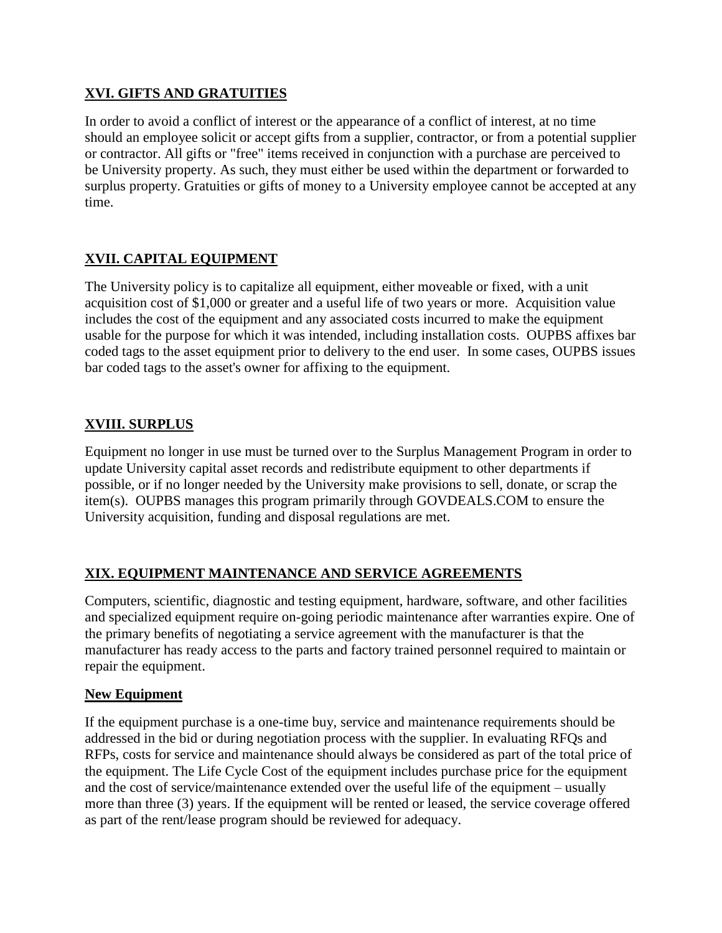#### **XVI. GIFTS AND GRATUITIES**

In order to avoid a conflict of interest or the appearance of a conflict of interest, at no time should an employee solicit or accept gifts from a supplier, contractor, or from a potential supplier or contractor. All gifts or "free" items received in conjunction with a purchase are perceived to be University property. As such, they must either be used within the department or forwarded to surplus property. Gratuities or gifts of money to a University employee cannot be accepted at any time.

#### **XVII. CAPITAL EQUIPMENT**

The University policy is to capitalize all equipment, either moveable or fixed, with a unit acquisition cost of \$1,000 or greater and a useful life of two years or more. Acquisition value includes the cost of the equipment and any associated costs incurred to make the equipment usable for the purpose for which it was intended, including installation costs. OUPBS affixes bar coded tags to the asset equipment prior to delivery to the end user. In some cases, OUPBS issues bar coded tags to the asset's owner for affixing to the equipment.

#### **XVIII. SURPLUS**

Equipment no longer in use must be turned over to the Surplus Management Program in order to update University capital asset records and redistribute equipment to other departments if possible, or if no longer needed by the University make provisions to sell, donate, or scrap the item(s). OUPBS manages this program primarily through GOVDEALS.COM to ensure the University acquisition, funding and disposal regulations are met.

#### **XIX. EQUIPMENT MAINTENANCE AND SERVICE AGREEMENTS**

Computers, scientific, diagnostic and testing equipment, hardware, software, and other facilities and specialized equipment require on-going periodic maintenance after warranties expire. One of the primary benefits of negotiating a service agreement with the manufacturer is that the manufacturer has ready access to the parts and factory trained personnel required to maintain or repair the equipment.

#### **New Equipment**

If the equipment purchase is a one-time buy, service and maintenance requirements should be addressed in the bid or during negotiation process with the supplier. In evaluating RFQs and RFPs, costs for service and maintenance should always be considered as part of the total price of the equipment. The Life Cycle Cost of the equipment includes purchase price for the equipment and the cost of service/maintenance extended over the useful life of the equipment – usually more than three (3) years. If the equipment will be rented or leased, the service coverage offered as part of the rent/lease program should be reviewed for adequacy.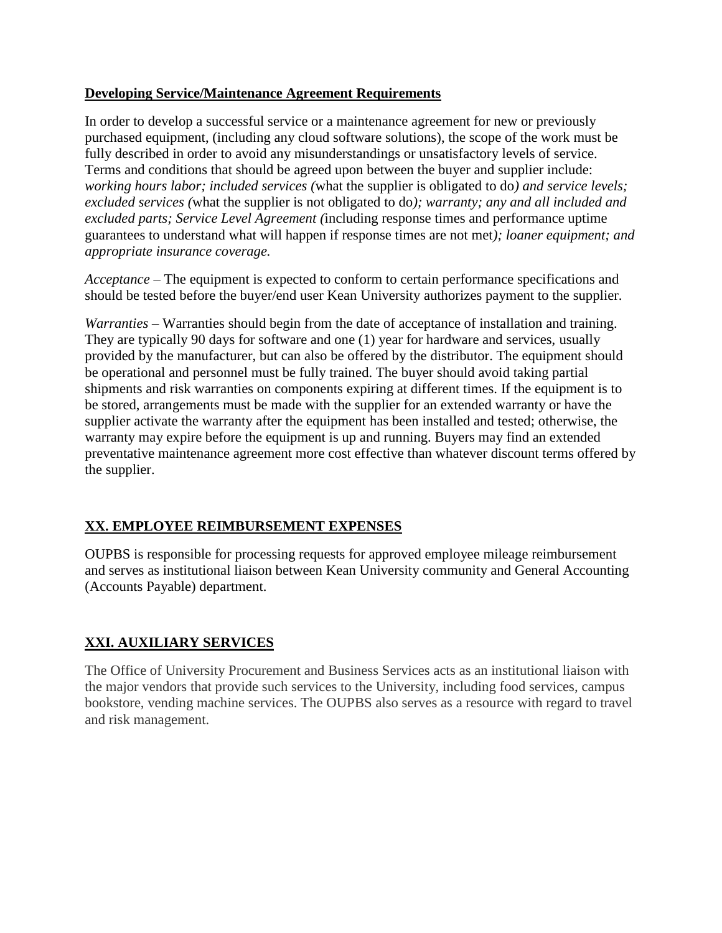#### **Developing Service/Maintenance Agreement Requirements**

In order to develop a successful service or a maintenance agreement for new or previously purchased equipment, (including any cloud software solutions), the scope of the work must be fully described in order to avoid any misunderstandings or unsatisfactory levels of service. Terms and conditions that should be agreed upon between the buyer and supplier include: *working hours labor; included services (*what the supplier is obligated to do*) and service levels; excluded services (*what the supplier is not obligated to do*); warranty; any and all included and excluded parts; Service Level Agreement (*including response times and performance uptime guarantees to understand what will happen if response times are not met*); loaner equipment; and appropriate insurance coverage.*

*Acceptance* – The equipment is expected to conform to certain performance specifications and should be tested before the buyer/end user Kean University authorizes payment to the supplier.

*Warranties* – Warranties should begin from the date of acceptance of installation and training. They are typically 90 days for software and one (1) year for hardware and services, usually provided by the manufacturer, but can also be offered by the distributor. The equipment should be operational and personnel must be fully trained. The buyer should avoid taking partial shipments and risk warranties on components expiring at different times. If the equipment is to be stored, arrangements must be made with the supplier for an extended warranty or have the supplier activate the warranty after the equipment has been installed and tested; otherwise, the warranty may expire before the equipment is up and running. Buyers may find an extended preventative maintenance agreement more cost effective than whatever discount terms offered by the supplier.

#### **XX. EMPLOYEE REIMBURSEMENT EXPENSES**

OUPBS is responsible for processing requests for approved employee mileage reimbursement and serves as institutional liaison between Kean University community and General Accounting (Accounts Payable) department.

#### **XXI. AUXILIARY SERVICES**

The Office of University Procurement and Business Services acts as an institutional liaison with the major vendors that provide such services to the University, including food services, campus bookstore, vending machine services. The OUPBS also serves as a resource with regard to travel and risk management.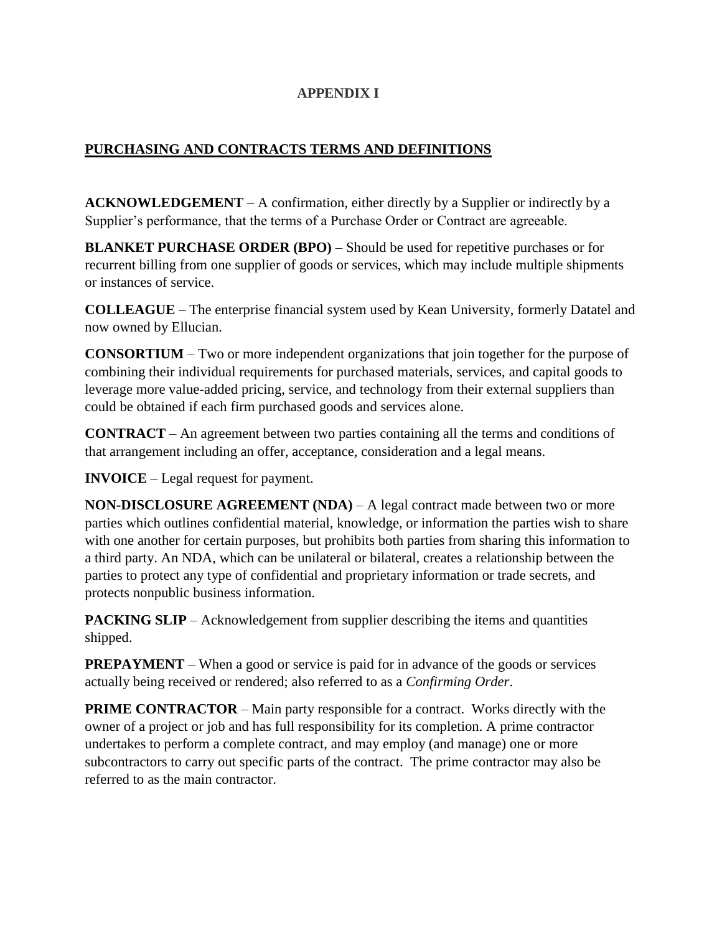#### **APPENDIX I**

#### **PURCHASING AND CONTRACTS TERMS AND DEFINITIONS**

**ACKNOWLEDGEMENT** – A confirmation, either directly by a Supplier or indirectly by a Supplier's performance, that the terms of a Purchase Order or Contract are agreeable.

**BLANKET PURCHASE ORDER (BPO)** – Should be used for repetitive purchases or for recurrent billing from one supplier of goods or services, which may include multiple shipments or instances of service.

**COLLEAGUE** – The enterprise financial system used by Kean University, formerly Datatel and now owned by Ellucian.

**CONSORTIUM** – Two or more independent organizations that join together for the purpose of combining their individual requirements for purchased materials, services, and capital goods to leverage more value-added pricing, service, and technology from their external suppliers than could be obtained if each firm purchased goods and services alone.

**CONTRACT** – An agreement between two parties containing all the terms and conditions of that arrangement including an offer, acceptance, consideration and a legal means.

**INVOICE** – Legal request for payment.

**NON-DISCLOSURE AGREEMENT (NDA)** – A legal contract made between two or more parties which outlines confidential material, knowledge, or information the parties wish to share with one another for certain purposes, but prohibits both parties from sharing this information to a third party. An NDA, which can be unilateral or bilateral, creates a relationship between the parties to protect any type of confidential and proprietary information or trade secrets, and protects nonpublic business information.

**PACKING SLIP** – Acknowledgement from supplier describing the items and quantities shipped.

**PREPAYMENT** – When a good or service is paid for in advance of the goods or services actually being received or rendered; also referred to as a *Confirming Order*.

**PRIME CONTRACTOR** – Main party responsible for a contract. Works directly with the owner of a project or job and has full responsibility for its completion. A prime contractor undertakes to perform a complete contract, and may employ (and manage) one or more subcontractors to carry out specific parts of the contract. The prime contractor may also be referred to as the main contractor.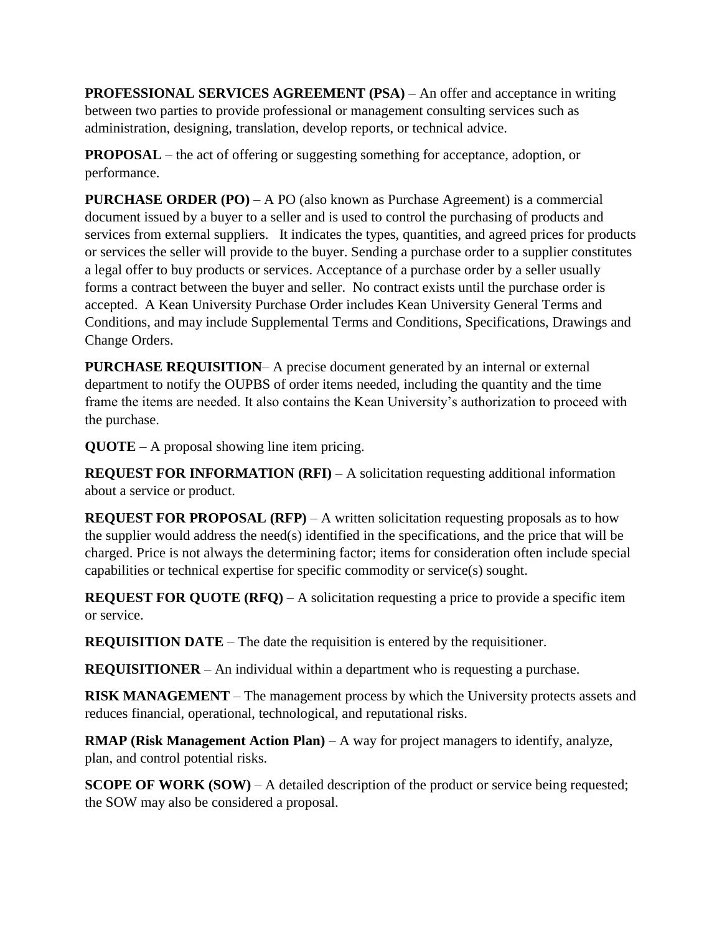**PROFESSIONAL SERVICES AGREEMENT (PSA)** – An offer and acceptance in writing between two parties to provide professional or management consulting services such as administration, designing, translation, develop reports, or technical advice.

**PROPOSAL** – the act of offering or suggesting something for acceptance, adoption, or performance.

**PURCHASE ORDER (PO)** – A PO (also known as Purchase Agreement) is a commercial document issued by a buyer to a seller and is used to control the purchasing of products and services from external suppliers. It indicates the types, quantities, and agreed prices for products or services the seller will provide to the buyer. Sending a purchase order to a supplier constitutes a legal offer to buy products or services. Acceptance of a purchase order by a seller usually forms a contract between the buyer and seller. No contract exists until the purchase order is accepted. A Kean University Purchase Order includes Kean University General Terms and Conditions, and may include Supplemental Terms and Conditions, Specifications, Drawings and Change Orders.

**PURCHASE REQUISITION**– A precise document generated by an internal or external department to notify the OUPBS of order items needed, including the quantity and the time frame the items are needed. It also contains the Kean University's authorization to proceed with the purchase.

**QUOTE** – A proposal showing line item pricing.

**REQUEST FOR INFORMATION (RFI)** – A solicitation requesting additional information about a service or product.

**REQUEST FOR PROPOSAL (RFP)** – A written solicitation requesting proposals as to how the supplier would address the need(s) identified in the specifications, and the price that will be charged. Price is not always the determining factor; items for consideration often include special capabilities or technical expertise for specific commodity or service(s) sought.

**REQUEST FOR QUOTE (RFQ)** – A solicitation requesting a price to provide a specific item or service.

**REQUISITION DATE** – The date the requisition is entered by the requisitioner.

**REQUISITIONER** – An individual within a department who is requesting a purchase.

**RISK MANAGEMENT** – The management process by which the University protects assets and reduces financial, operational, technological, and reputational risks.

**RMAP (Risk Management Action Plan)** – A way for project managers to identify, analyze, plan, and control potential risks.

**SCOPE OF WORK (SOW)** – A detailed description of the product or service being requested; the SOW may also be considered a proposal.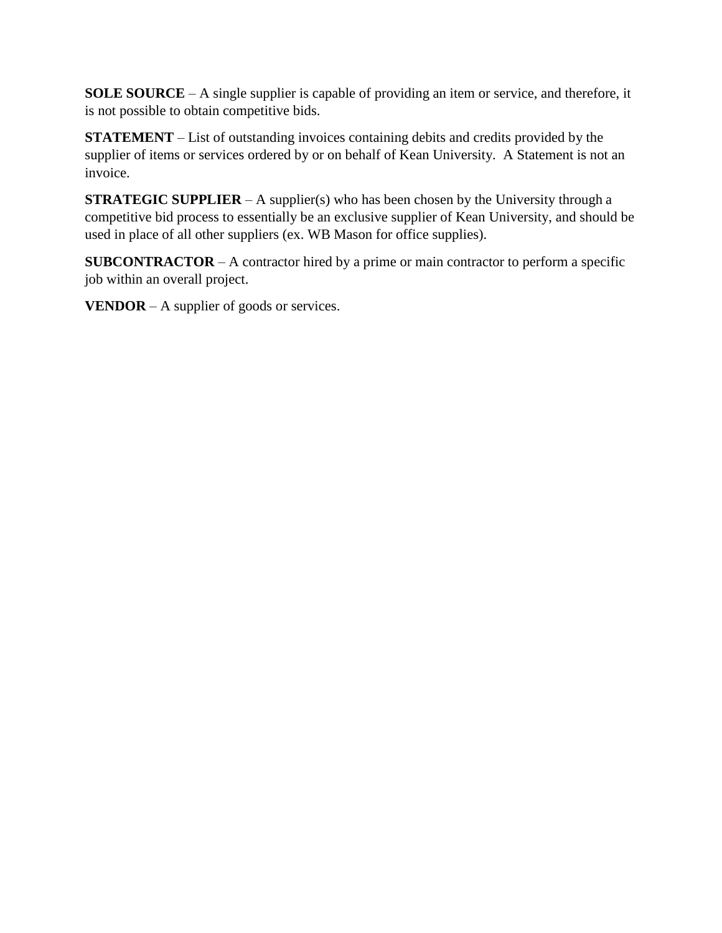**SOLE SOURCE** – A single supplier is capable of providing an item or service, and therefore, it is not possible to obtain competitive bids.

**STATEMENT** – List of outstanding invoices containing debits and credits provided by the supplier of items or services ordered by or on behalf of Kean University. A Statement is not an invoice.

**STRATEGIC SUPPLIER** – A supplier(s) who has been chosen by the University through a competitive bid process to essentially be an exclusive supplier of Kean University, and should be used in place of all other suppliers (ex. WB Mason for office supplies).

**SUBCONTRACTOR** – A contractor hired by a prime or main contractor to perform a specific job within an overall project.

**VENDOR** – A supplier of goods or services.